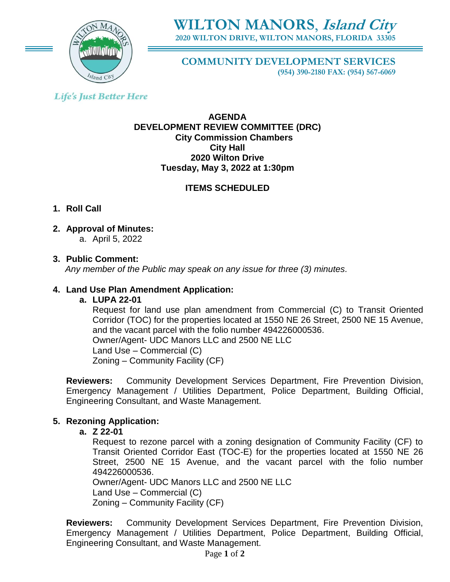

# **WILTON MANORS**, **Island City 2020 WILTON DRIVE, WILTON MANORS, FLORIDA 33305**

**COMMUNITY DEVELOPMENT SERVICES**

**(954) 390-2180 FAX: (954) 567-6069**

## **Life's Just Better Here**

#### **AGENDA DEVELOPMENT REVIEW COMMITTEE (DRC) City Commission Chambers City Hall 2020 Wilton Drive Tuesday, May 3, 2022 at 1:30pm**

## **ITEMS SCHEDULED**

### **1. Roll Call**

**2. Approval of Minutes:** 

a. April 5, 2022

### **3. Public Comment:**

 *Any member of the Public may speak on any issue for three (3) minutes.*

### **4. Land Use Plan Amendment Application:**

### **a. LUPA 22-01**

Request for land use plan amendment from Commercial (C) to Transit Oriented Corridor (TOC) for the properties located at 1550 NE 26 Street, 2500 NE 15 Avenue, and the vacant parcel with the folio number 494226000536. Owner/Agent- UDC Manors LLC and 2500 NE LLC Land Use – Commercial (C) Zoning – Community Facility (CF)

**Reviewers:** Community Development Services Department, Fire Prevention Division, Emergency Management / Utilities Department, Police Department, Building Official, Engineering Consultant, and Waste Management.

### **5. Rezoning Application:**

### **a. Z 22-01**

Request to rezone parcel with a zoning designation of Community Facility (CF) to Transit Oriented Corridor East (TOC-E) for the properties located at 1550 NE 26 Street, 2500 NE 15 Avenue, and the vacant parcel with the folio number 494226000536.

Owner/Agent- UDC Manors LLC and 2500 NE LLC Land Use – Commercial (C) Zoning – Community Facility (CF)

**Reviewers:** Community Development Services Department, Fire Prevention Division, Emergency Management / Utilities Department, Police Department, Building Official, Engineering Consultant, and Waste Management.